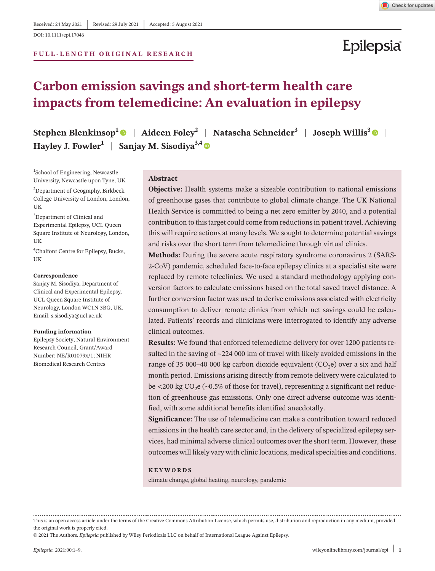DOI: 10.1111/epi.17046

### **F U L L - L E N G T H ORIGINAL RESEARCH**

### Check for updates

# Epilepsia

### **Carbon emission savings and short-term health care impacts from telemedicine: An evaluation in epilepsy**

**Stephen Blenkinsop<sup>[1](https://orcid.org/0000-0003-0790-6545)</sup> | Aideen Foley<sup>2</sup> | Natascha Schneider<sup>[3](https://orcid.org/0000-0002-6766-363X)</sup> | Joseph Willis<sup>3</sup> | <b>| Hayley J. Fowler**<sup>1</sup> | Sanjay M. Sisodiya<sup>3,[4](https://orcid.org/0000-0002-1511-5893)</sup>  $\bullet$ 

1 School of Engineering, Newcastle University, Newcastle upon Tyne, UK

<sup>2</sup>Department of Geography, Birkbeck College University of London, London, UK

<sup>3</sup>Department of Clinical and Experimental Epilepsy, UCL Queen Square Institute of Neurology, London, UK

4 Chalfont Centre for Epilepsy, Bucks, **UK** 

#### **Correspondence**

Sanjay M. Sisodiya, Department of Clinical and Experimental Epilepsy, UCL Queen Square Institute of Neurology, London WC1N 3BG, UK. Email: [s.sisodiya@ucl.ac.uk](mailto:s.sisodiya@ucl.ac.uk)

### **Funding information**

Epilepsy Society; Natural Environment Research Council, Grant/Award Number: NE/R01079x/1; NIHR Biomedical Research Centres

### **Abstract**

**Objective:** Health systems make a sizeable contribution to national emissions of greenhouse gases that contribute to global climate change. The UK National Health Service is committed to being a net zero emitter by 2040, and a potential contribution to this target could come from reductions in patient travel. Achieving this will require actions at many levels. We sought to determine potential savings and risks over the short term from telemedicine through virtual clinics.

**Methods:** During the severe acute respiratory syndrome coronavirus 2 (SARS-2-CoV) pandemic, scheduled face-to-face epilepsy clinics at a specialist site were replaced by remote teleclinics. We used a standard methodology applying conversion factors to calculate emissions based on the total saved travel distance. A further conversion factor was used to derive emissions associated with electricity consumption to deliver remote clinics from which net savings could be calculated. Patients' records and clinicians were interrogated to identify any adverse clinical outcomes.

**Results:** We found that enforced telemedicine delivery for over 1200 patients resulted in the saving of ~224 000 km of travel with likely avoided emissions in the range of 35 000–40 000 kg carbon dioxide equivalent  $(CO<sub>2</sub>e)$  over a six and half month period. Emissions arising directly from remote delivery were calculated to be  $\langle 200 \text{ kg } CO_2 \text{e } (-0.5\% \text{ of those for travel}),$  representing a significant net reduction of greenhouse gas emissions. Only one direct adverse outcome was identified, with some additional benefits identified anecdotally.

**Significance:** The use of telemedicine can make a contribution toward reduced emissions in the health care sector and, in the delivery of specialized epilepsy services, had minimal adverse clinical outcomes over the short term. However, these outcomes will likely vary with clinic locations, medical specialties and conditions.

### **KEYWORDS**

climate change, global heating, neurology, pandemic

© 2021 The Authors. *Epilepsia* published by Wiley Periodicals LLC on behalf of International League Against Epilepsy.

This is an open access article under the terms of the Creative Commons [Attribution](http://creativecommons.org/licenses/by/4.0/) License, which permits use, distribution and reproduction in any medium, provided the original work is properly cited.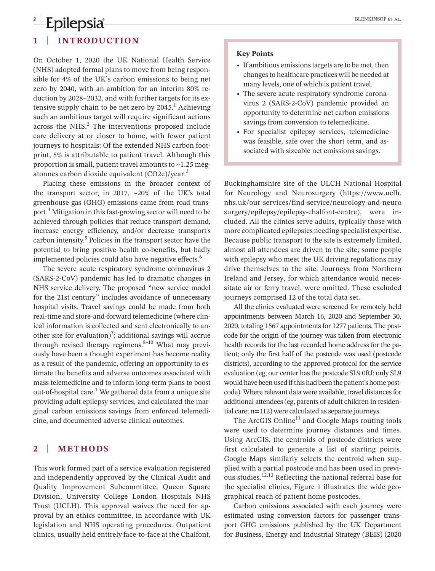# **2 Lepilepsia Epilepsia BLENKINSOP ET AL.**

### **1** | **INTRODUCTION**

On October 1, 2020 the UK National Health Service (NHS) adopted formal plans to move from being responsible for 4% of the UK's carbon emissions to being net zero by 2040, with an ambition for an interim 80% reduction by 2028–2032, and with further targets for its extensive supply chain to be net zero by  $2045<sup>1</sup>$  Achieving such an ambitious target will require significant actions across the NHS. $<sup>2</sup>$  The interventions proposed include</sup> care delivery at or closer to home, with fewer patient journeys to hospitals: Of the extended NHS carbon footprint, 5% is attributable to patient travel. Although this proportion is small, patient travel amounts to  $\sim$ 1.25 megatonnes carbon dioxide equivalent (CO2e)/year.<sup>3</sup>

Placing these emissions in the broader context of the transport sector, in 2017,  $\sim$ 20% of the UK's total greenhouse gas (GHG) emissions came from road transport.4 Mitigation in this fast-growing sector will need to be achieved through policies that reduce transport demand, increase energy efficiency, and/or decrease transport's carbon intensity.<sup>5</sup> Policies in the transport sector have the potential to bring positive health co-benefits, but badly implemented policies could also have negative effects.<sup>6</sup>

The severe acute respiratory syndrome coronavirus 2 (SARS-2-CoV) pandemic has led to dramatic changes in NHS service delivery. The proposed "new service model for the 21st century" includes avoidance of unnecessary hospital visits. Travel savings could be made from both real-time and store-and-forward telemedicine (where clinical information is collected and sent electronically to another site for evaluation)<sup>7</sup>; additional savings will accrue through revised therapy regimens. $8-10$  What may previously have been a thought experiment has become reality as a result of the pandemic, offering an opportunity to estimate the benefits and adverse outcomes associated with mass telemedicine and to inform long-term plans to boost out-of-hospital care.<sup>1</sup> We gathered data from a unique site providing adult epilepsy services, and calculated the marginal carbon emissions savings from enforced telemedicine, and documented adverse clinical outcomes.

### **2** | **METHODS**

This work formed part of a service evaluation registered and independently approved by the Clinical Audit and Quality Improvement Subcommittee, Queen Square Division, University College London Hospitals NHS Trust (UCLH). This approval waives the need for approval by an ethics committee, in accordance with UK legislation and NHS operating procedures. Outpatient clinics, usually held entirely face-to-face at the Chalfont,

### **Key Points**

- If ambitious emissions targets are to be met, then changesto healthcare practices will be needed at many levels, one of which is patient travel.
- The severe acute respiratory syndrome coronavirus 2 (SARS-2-CoV) pandemic provided an opportunity to determine net carbon emissions savings from conversion to telemedicine.
- • For specialist epilepsy services, telemedicine was feasible, safe over the short term, and associated with sizeable net emissions savings.

Buckinghamshire site of the ULCH National Hospital for Neurology and Neurosurgery [\(https://www.uclh.](https://www.uclh.nhs.uk/our-services/find-service/neurology-and-neurosurgery/epilepsy/epilepsy-chalfont-centre) [nhs.uk/our-services/find-service/neurology-and-neuro](https://www.uclh.nhs.uk/our-services/find-service/neurology-and-neurosurgery/epilepsy/epilepsy-chalfont-centre) [surgery/epilepsy/epilepsy-chalfont-centre](https://www.uclh.nhs.uk/our-services/find-service/neurology-and-neurosurgery/epilepsy/epilepsy-chalfont-centre)), were included. All the clinics serve adults, typically those with more complicated epilepsies needing specialist expertise. Because public transport to the site is extremely limited, almost all attendees are driven to the site; some people with epilepsy who meet the UK driving regulations may drive themselves to the site. Journeys from Northern Ireland and Jersey, for which attendance would necessitate air or ferry travel, were omitted. These excluded journeys comprised 12 of the total data set.

All the clinics evaluated were screened for remotely held appointments between March 16, 2020 and September 30, 2020, totaling 1567 appointments for 1277 patients. The postcode for the origin of the journey was taken from electronic health records for the last recorded home address for the patient; only the first half of the postcode was used (postcode districts), according to the approved protocol for the service evaluation (eg, our center hasthe postcode SL9 0RJ: only SL9 would have been used if this had been the patient's home postcode). Where relevant data were available, travel distances for additional attendees(eg, parents of adult children in residential care;  $n=112$ ) were calculated as separate journeys.

The ArcGIS Online $11$  and Google Maps routing tools were used to determine journey distances and times. Using ArcGIS, the centroids of postcode districts were first calculated to generate a list of starting points. Google Maps similarly selects the centroid when supplied with a partial postcode and has been used in previous studies.12,13 Reflecting the national referral base for the specialist clinics, Figure 1 illustrates the wide geographical reach of patient home postcodes.

Carbon emissions associated with each journey were estimated using conversion factors for passenger transport GHG emissions published by the UK Department for Business, Energy and Industrial Strategy (BEIS) (2020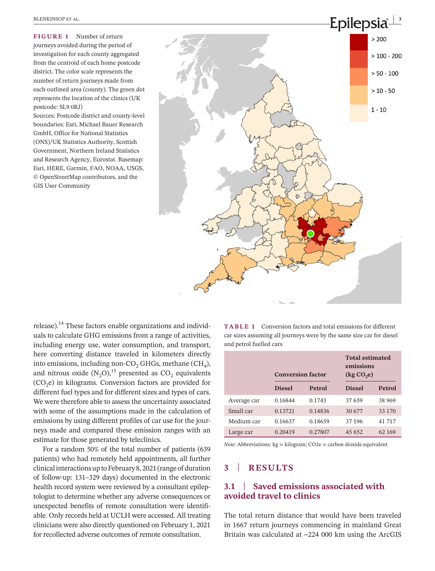**FIGURE 1** Number of return journeys avoided during the period of investigation for each county aggregated from the centroid of each home postcode district. The color scale represents the number of return journeys made from each outlined area (county). The green dot represents the location of the clinics (UK postcode: SL9 0RJ)

Sources: Postcode district and county-level boundaries: Esri, Michael Bauer Research GmbH, Office for National Statistics (ONS)/UK Statistics Authority, Scottish Government, Northern Ireland Statistics and Research Agency, Eurostat. Basemap: Esri, HERE, Garmin, FAO, NOAA, USGS, © OpenStreetMap contributors, and the GIS User Community



release). $<sup>14</sup>$  These factors enable organizations and individ-</sup> uals to calculate GHG emissions from a range of activities, including energy use, water consumption, and transport, here converting distance traveled in kilometers directly into emissions, including non-CO<sub>2</sub> GHGs, methane (CH<sub>4</sub>), and nitrous oxide  $(N_2O)$ ,<sup>15</sup> presented as  $CO_2$  equivalents  $(CO<sub>2</sub>e)$  in kilograms. Conversion factors are provided for different fuel types and for different sizes and types of cars. We were therefore able to assess the uncertainty associated with some of the assumptions made in the calculation of emissions by using different profiles of car use for the journeys made and compared these emission ranges with an estimate for those generated by teleclinics.

For a random 50% of the total number of patients (639 patients) who had remotely held appointments, all further clinical interactions up to February 8, 2021 (range of duration of follow-up: 131–329 days) documented in the electronic health record system were reviewed by a consultant epileptologist to determine whether any adverse consequences or unexpected benefits of remote consultation were identifiable. Only records held at UCLH were accessed. All treating clinicians were also directly questioned on February 1, 2021 for recollected adverse outcomes of remote consultation.

**TABLE 1** Conversion factors and total emissions for different car sizes assuming all journeys were by the same size car for diesel and petrol fuelled cars

|             | <b>Conversion factor</b> |         | <b>Total estimated</b><br>emissions<br>$(\text{kg CO}_2)$ |         |  |
|-------------|--------------------------|---------|-----------------------------------------------------------|---------|--|
|             | <b>Diesel</b>            | Petrol  | <b>Diesel</b>                                             | Petrol  |  |
| Average car | 0.16844                  | 0.1743  | 37 659                                                    | 38 969  |  |
| Small car   | 0.13721                  | 0.14836 | 30 677                                                    | 33 1 70 |  |
| Medium car  | 0.16637                  | 0.18659 | 37 196                                                    | 41 717  |  |
| Large car   | 0.20419                  | 0.27807 | 45 652                                                    | 62 169  |  |

*Note:* Abbreviations: kg = kilogram; CO2e = carbon dioxide equivalent

### **3** | **RESULTS**

### **3.1** | **Saved emissions associated with avoided travel to clinics**

The total return distance that would have been traveled in 1667 return journeys commencing in mainland Great Britain was calculated at ~224 000 km using the ArcGIS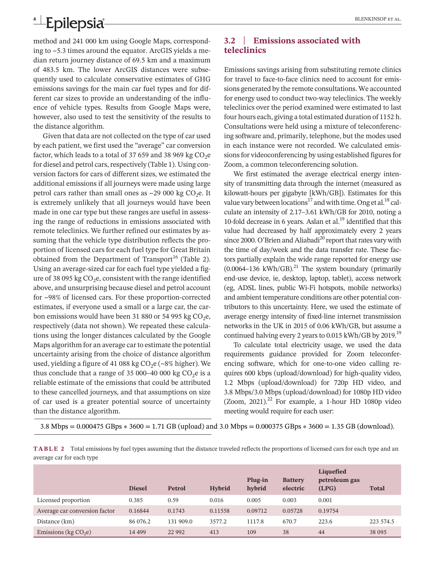# **4 Lepilepsia Epilepsia BLENKINSOP ET AL.**

method and 241 000 km using Google Maps, corresponding to ~5.3 times around the equator. ArcGIS yields a median return journey distance of 69.5 km and a maximum of 483.5 km. The lower ArcGIS distances were subsequently used to calculate conservative estimates of GHG emissions savings for the main car fuel types and for different car sizes to provide an understanding of the influence of vehicle types. Results from Google Maps were, however, also used to test the sensitivity of the results to the distance algorithm.

Given that data are not collected on the type of car used by each patient, we first used the "average" car conversion factor, which leads to a total of 37 659 and 38 969 kg  $CO<sub>2</sub>e$ for diesel and petrol cars, respectively (Table 1). Using conversion factors for cars of different sizes, we estimated the additional emissions if all journeys were made using large petrol cars rather than small ones as  $\sim$ 29 000 kg CO<sub>2</sub>e. It is extremely unlikely that all journeys would have been made in one car type but these ranges are useful in assessing the range of reductions in emissions associated with remote teleclinics. We further refined our estimates by assuming that the vehicle type distribution reflects the proportion of licensed cars for each fuel type for Great Britain obtained from the Department of Transport<sup>16</sup> (Table 2). Using an average-sized car for each fuel type yielded a figure of 38 095 kg  $CO<sub>2</sub>e$ , consistent with the range identified above, and unsurprising because diesel and petrol account for ~98% of licensed cars. For these proportion-corrected estimates, if everyone used a small or a large car, the carbon emissions would have been 31 880 or 54 995 kg  $CO<sub>2</sub>e$ , respectively (data not shown). We repeated these calculations using the longer distances calculated by the Google Maps algorithm for an average car to estimate the potential uncertainty arising from the choice of distance algorithm used, yielding a figure of 41 088 kg  $CO<sub>2</sub>e$  (~8% higher). We thus conclude that a range of 35 000–40 000 kg  $CO<sub>2</sub>e$  is a reliable estimate of the emissions that could be attributed to these cancelled journeys, and that assumptions on size of car used is a greater potential source of uncertainty than the distance algorithm.

### **3.2** | **Emissions associated with teleclinics**

Emissions savings arising from substituting remote clinics for travel to face-to-face clinics need to account for emissions generated by the remote consultations. We accounted for energy used to conduct two-way teleclinics. The weekly teleclinics over the period examined were estimated to last four hours each, giving a total estimated duration of 1152 h. Consultations were held using a mixture of teleconferencing software and, primarily, telephone, but the modes used in each instance were not recorded. We calculated emissions for videoconferencing by using established figures for Zoom, a common teleconferencing solution.

We first estimated the average electrical energy intensity of transmitting data through the internet (measured as kilowatt-hours per gigabyte [kWh/GB]). Estimates for this value vary between locations<sup>17</sup> and with time. Ong et al.<sup>18</sup> calculate an intensity of 2.17–3.61 kWh/GB for 2010, noting a 10-fold decrease in 6 years. Aslan et al. $^{19}$  identified that this value had decreased by half approximately every 2 years since 2000. O'Brien and Aliabadi $^{20}$  report that rates vary with the time of day/week and the data transfer rate. These factors partially explain the wide range reported for energy use  $(0.0064-136 \text{ kWh/GB})$ .<sup>21</sup> The system boundary (primarily end-use device, ie, desktop, laptop, tablet), access network (eg, ADSL lines, public Wi-Fi hotspots, mobile networks) and ambient temperature conditions are other potential contributors to this uncertainty. Here, we used the estimate of average energy intensity of fixed-line internet transmission networks in the UK in 2015 of 0.06 kWh/GB, but assume a continued halving every 2 years to 0.015 kWh/GB by 2019.<sup>19</sup>

To calculate total electricity usage, we used the data requirements guidance provided for Zoom teleconferencing software, which for one-to-one video calling requires 600 kbps (upload/download) for high-quality video, 1.2 Mbps (upload/download) for 720p HD video, and 3.8 Mbps/3.0 Mbps (upload/download) for 1080p HD video (Zoom, 2021).<sup>22</sup> For example, a 1-hour HD 1080p video meeting would require for each user:

3.8 Mbps = 0.000475 GBps ∗ 3600 = 1.71 GB (upload) and 3.0 Mbps = 0.000375 GBps ∗ 3600 = 1.35 GB (download).

|                           | TABLE 2 Total emissions by fuel types assuming that the distance traveled reflects the proportions of licensed cars for each type and an |
|---------------------------|------------------------------------------------------------------------------------------------------------------------------------------|
| average car for each type |                                                                                                                                          |

|                               | <b>Diesel</b> | Petrol    | <b>Hybrid</b> | Plug-in<br>hybrid | <b>Battery</b><br>electric | Liquefied<br>petroleum gas<br>(LPG) | <b>Total</b> |
|-------------------------------|---------------|-----------|---------------|-------------------|----------------------------|-------------------------------------|--------------|
| Licensed proportion           | 0.385         | 0.59      | 0.016         | 0.005             | 0.003                      | 0.001                               |              |
| Average car conversion factor | 0.16844       | 0.1743    | 0.11558       | 0.09712           | 0.05728                    | 0.19754                             |              |
| Distance (km)                 | 86 076.2      | 131 909.0 | 3577.2        | 1117.8            | 670.7                      | 223.6                               | 223 574.5    |
| Emissions (kg $CO2e$ )        | 14 4 9 9      | 22 9 92   | 413           | 109               | 38                         | 44                                  | 38 095       |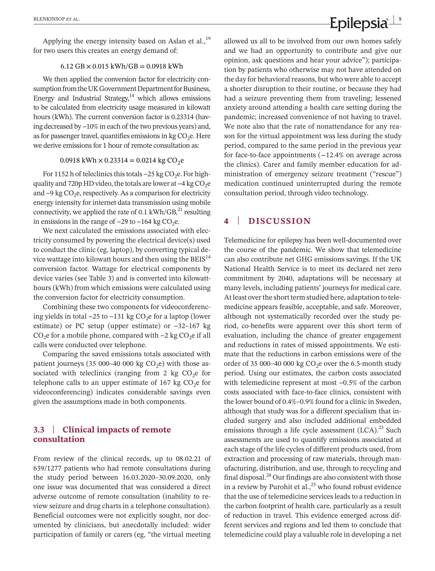Applying the energy intensity based on Aslan et al., $^{19}$ for two users this creates an energy demand of:

### $6.12$  GB  $\times$  0.015 kWh/GB = 0.0918 kWh

We then applied the conversion factor for electricity consumption from the UK Government Department for Business, Energy and Industrial Strategy, $14$  which allows emissions to be calculated from electricity usage measured in kilowatt hours (kWh). The current conversion factor is 0.23314 (having decreased by  $\sim$ 10% in each of the two previous years) and, as for passenger travel, quantifies emissions in kg  $CO<sub>2</sub>e$ . Here we derive emissions for 1 hour of remote consultation as:

### 0.0918 kWh  $\times$  0.23314 = 0.0214 kg CO<sub>2</sub>e

For 1152 h of teleclinics this totals  $\sim$  25 kg CO<sub>2</sub>e. For highquality and 720p HD video, the totals are lower at  $\sim$ 4 kg CO<sub>2</sub>e and  $\sim$ 9 kg CO<sub>2</sub>e, respectively. As a comparison for electricity energy intensity for internet data transmission using mobile connectivity, we applied the rate of 0.1 kWh/GB, $^{21}$  resulting in emissions in the range of  $\sim$ 29 to  $\sim$ 164 kg CO<sub>2</sub>e.

We next calculated the emissions associated with electricity consumed by powering the electrical device(s) used to conduct the clinic (eg, laptop), by converting typical device wattage into kilowatt hours and then using the  $B EIS<sup>14</sup>$ conversion factor. Wattage for electrical components by device varies (see Table 3) and is converted into kilowatthours (kWh) from which emissions were calculated using the conversion factor for electricity consumption.

Combining these two components for videoconferencing yields in total  $\sim$ 25 to  $\sim$ 131 kg CO<sub>2</sub>e for a laptop (lower estimate) or PC setup (upper estimate) or  $\sim$ 32–167 kg  $CO<sub>2</sub>e$  for a mobile phone, compared with ~2 kg  $CO<sub>2</sub>e$  if all calls were conducted over telephone.

Comparing the saved emissions totals associated with patient journeys (35 000-40 000 kg  $CO<sub>2</sub>e$ ) with those associated with teleclinics (ranging from 2  $kg CO<sub>2</sub>e$  for telephone calls to an upper estimate of 167  $kg CO<sub>2</sub>e$  for videoconferencing) indicates considerable savings even given the assumptions made in both components.

### **3.3** | **Clinical impacts of remote consultation**

From review of the clinical records, up to 08.02.21 of 639/1277 patients who had remote consultations during the study period between 16.03.2020–30.09.2020, only one issue was documented that was considered a direct adverse outcome of remote consultation (inability to review seizure and drug charts in a telephone consultation). Beneficial outcomes were not explicitly sought, nor documented by clinicians, but anecdotally included: wider participation of family or carers (eg, "the virtual meeting

allowed us all to be involved from our own homes safely and we had an opportunity to contribute and give our opinion, ask questions and hear your advice"); participation by patients who otherwise may not have attended on the day for behavioral reasons, but who were able to accept a shorter disruption to their routine, or because they had had a seizure preventing them from traveling; lessened anxiety around attending a health care setting during the pandemic; increased convenience of not having to travel. We note also that the rate of nonattendance for any reason for the virtual appointment was less during the study period, compared to the same period in the previous year for face-to-face appointments (−12.4% on average across the clinics). Carer and family member education for administration of emergency seizure treatment ("rescue") medication continued uninterrupted during the remote consultation period, through video technology.

### **4** | **DISCUSSION**

Telemedicine for epilepsy has been well-documented over the course of the pandemic. We show that telemedicine can also contribute net GHG emissions savings. If the UK National Health Service is to meet its declared net zero commitment by 2040, adaptations will be necessary at many levels, including patients' journeys for medical care. At least over the short term studied here, adaptation to telemedicine appears feasible, acceptable, and safe. Moreover, although not systematically recorded over the study period, co-benefits were apparent over this short term of evaluation, including the chance of greater engagement and reductions in rates of missed appointments. We estimate that the reductions in carbon emissions were of the order of 35 000–40 000 kg  $CO<sub>2</sub>e$  over the 6.5-month study period. Using our estimates, the carbon costs associated with telemedicine represent at most ~0.5% of the carbon costs associated with face-to-face clinics, consistent with the lower bound of 0.4%–0.9% found for a clinic in Sweden, although that study was for a different specialism that included surgery and also included additional embedded emissions through a life cycle assessment  $(LCA)^{23}$  Such assessments are used to quantify emissions associated at each stage of the life cycles of different products used, from extraction and processing of raw materials, through manufacturing, distribution, and use, through to recycling and final disposal.<sup>24</sup> Our findings are also consistent with those in a review by Purohit et al.,  $^{25}$  who found robust evidence that the use of telemedicine services leads to a reduction in the carbon footprint of health care, particularly as a result of reduction in travel. This evidence emerged across different services and regions and led them to conclude that telemedicine could play a valuable role in developing a net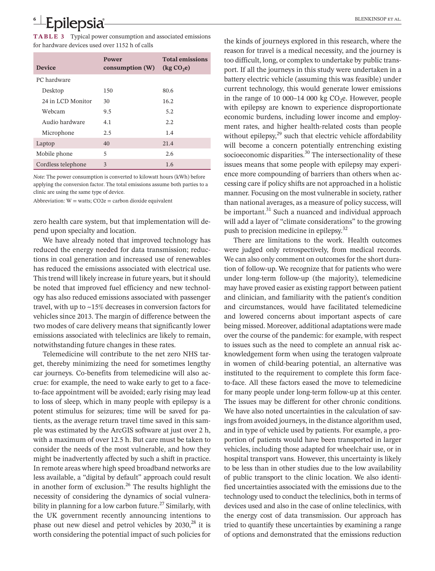# **6 <sup>|</sup>**  BLENKINSOP et al.

**TABLE 3** Typical power consumption and associated emissions for hardware devices used over 1152 h of calls

| <b>Device</b>      | Power<br>consumption(W) | <b>Total emissions</b><br>$\left(\text{kg }CO,\text{e}\right)$ |
|--------------------|-------------------------|----------------------------------------------------------------|
| PC hardware        |                         |                                                                |
| Desktop            | 150                     | 80.6                                                           |
| 24 in LCD Monitor  | 30                      | 16.2                                                           |
| Webcam             | 9.5                     | 5.2                                                            |
| Audio hardware     | 4.1                     | 2.2.                                                           |
| Microphone         | 2.5                     | 1.4                                                            |
| Laptop             | 40                      | 21.4                                                           |
| Mobile phone       | 5                       | 2.6                                                            |
| Cordless telephone | 3                       | 1.6                                                            |

*Note:* The power consumption is converted to kilowatt hours (kWh) before applying the conversion factor. The total emissions assume both parties to a clinic are using the same type of device.

Abbreviation:  $W = watts$ ;  $CO2e = carbon dioxide equivalent$ 

zero health care system, but that implementation will depend upon specialty and location.

We have already noted that improved technology has reduced the energy needed for data transmission; reductions in coal generation and increased use of renewables has reduced the emissions associated with electrical use. This trend will likely increase in future years, but it should be noted that improved fuel efficiency and new technology has also reduced emissions associated with passenger travel, with up to ~15% decreases in conversion factors for vehicles since 2013. The margin of difference between the two modes of care delivery means that significantly lower emissions associated with teleclinics are likely to remain, notwithstanding future changes in these rates.

Telemedicine will contribute to the net zero NHS target, thereby minimizing the need for sometimes lengthy car journeys. Co-benefits from telemedicine will also accrue: for example, the need to wake early to get to a faceto-face appointment will be avoided; early rising may lead to loss of sleep, which in many people with epilepsy is a potent stimulus for seizures; time will be saved for patients, as the average return travel time saved in this sample was estimated by the ArcGIS software at just over 2 h, with a maximum of over 12.5 h. But care must be taken to consider the needs of the most vulnerable, and how they might be inadvertently affected by such a shift in practice. In remote areas where high speed broadband networks are less available, a "digital by default" approach could result in another form of exclusion.<sup>26</sup> The results highlight the necessity of considering the dynamics of social vulnerability in planning for a low carbon future.<sup>27</sup> Similarly, with the UK government recently announcing intentions to phase out new diesel and petrol vehicles by  $2030$ ,<sup>28</sup> it is worth considering the potential impact of such policies for

the kinds of journeys explored in this research, where the reason for travel is a medical necessity, and the journey is too difficult, long, or complex to undertake by public transport. If all the journeys in this study were undertaken in a battery electric vehicle (assuming this was feasible) under current technology, this would generate lower emissions in the range of 10 000–14 000 kg  $CO<sub>2</sub>e$ . However, people with epilepsy are known to experience disproportionate economic burdens, including lower income and employment rates, and higher health-related costs than people without epilepsy, $29$  such that electric vehicle affordability will become a concern potentially entrenching existing socioeconomic disparities. $30$  The intersectionality of these issues means that some people with epilepsy may experience more compounding of barriers than others when accessing care if policy shifts are not approached in a holistic manner. Focusing on the most vulnerable in society, rather than national averages, as a measure of policy success, will be important.<sup>31</sup> Such a nuanced and individual approach will add a layer of "climate considerations" to the growing push to precision medicine in epilepsy.<sup>32</sup>

There are limitations to the work. Health outcomes were judged only retrospectively, from medical records. We can also only comment on outcomes for the short duration of follow-up. We recognize that for patients who were under long-term follow-up (the majority), telemedicine may have proved easier as existing rapport between patient and clinician, and familiarity with the patient's condition and circumstances, would have facilitated telemedicine and lowered concerns about important aspects of care being missed. Moreover, additional adaptations were made over the course of the pandemic: for example, with respect to issues such as the need to complete an annual risk acknowledgement form when using the teratogen valproate in women of child-bearing potential, an alternative was instituted to the requirement to complete this form faceto-face. All these factors eased the move to telemedicine for many people under long-term follow-up at this center. The issues may be different for other chronic conditions. We have also noted uncertainties in the calculation of savings from avoided journeys, in the distance algorithm used, and in type of vehicle used by patients. For example, a proportion of patients would have been transported in larger vehicles, including those adapted for wheelchair use, or in hospital transport vans. However, this uncertainty is likely to be less than in other studies due to the low availability of public transport to the clinic location. We also identified uncertainties associated with the emissions due to the technology used to conduct the teleclinics, both in terms of devices used and also in the case of online teleclinics, with the energy cost of data transmission. Our approach has tried to quantify these uncertainties by examining a range of options and demonstrated that the emissions reduction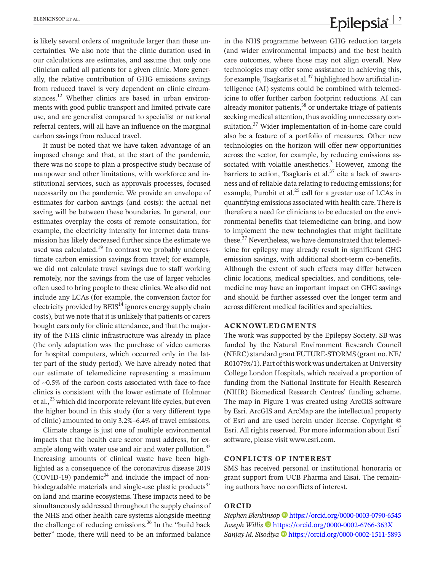is likely several orders of magnitude larger than these uncertainties. We also note that the clinic duration used in our calculations are estimates, and assume that only one clinician called all patients for a given clinic. More generally, the relative contribution of GHG emissions savings from reduced travel is very dependent on clinic circumstances.<sup>12</sup> Whether clinics are based in urban environments with good public transport and limited private care use, and are generalist compared to specialist or national referral centers, will all have an influence on the marginal carbon savings from reduced travel.

It must be noted that we have taken advantage of an imposed change and that, at the start of the pandemic, there was no scope to plan a prospective study because of manpower and other limitations, with workforce and institutional services, such as approvals processes, focused necessarily on the pandemic. We provide an envelope of estimates for carbon savings (and costs): the actual net saving will be between these boundaries. In general, our estimates overplay the costs of remote consultation, for example, the electricity intensity for internet data transmission has likely decreased further since the estimate we used was calculated. $19$  In contrast we probably underestimate carbon emission savings from travel; for example, we did not calculate travel savings due to staff working remotely, nor the savings from the use of larger vehicles often used to bring people to these clinics. We also did not include any LCAs (for example, the conversion factor for electricity provided by  $B EIS<sup>14</sup>$  ignores energy supply chain costs), but we note that it is unlikely that patients or carers bought cars only for clinic attendance, and that the majority of the NHS clinic infrastructure was already in place (the only adaptation was the purchase of video cameras for hospital computers, which occurred only in the latter part of the study period). We have already noted that our estimate of telemedicine representing a maximum of ~0.5% of the carbon costs associated with face-to-face clinics is consistent with the lower estimate of Holmner et al., $^{23}$  which did incorporate relevant life cycles, but even the higher bound in this study (for a very different type of clinic) amounted to only 3.2%–6.4% of travel emissions.

Climate change is just one of multiple environmental impacts that the health care sector must address, for example along with water use and air and water pollution.<sup>33</sup> Increasing amounts of clinical waste have been highlighted as a consequence of the coronavirus disease 2019  $(COVID-19)$  pandemic<sup>34</sup> and include the impact of nonbiodegradable materials and single-use plastic products<sup>35</sup> on land and marine ecosystems. These impacts need to be simultaneously addressed throughout the supply chains of the NHS and other health care systems alongside meeting the challenge of reducing emissions.<sup>36</sup> In the "build back" better" mode, there will need to be an informed balance

# **EXENKINSOP ET AL. CONSUMING EXAMPLE 2018 (2018)**

in the NHS programme between GHG reduction targets (and wider environmental impacts) and the best health care outcomes, where those may not align overall. New technologies may offer some assistance in achieving this, for example, Tsagkaris et al. $37$  highlighted how artificial intelligence (AI) systems could be combined with telemedicine to offer further carbon footprint reductions. AI can already monitor patients, $38$  or undertake triage of patients seeking medical attention, thus avoiding unnecessary consultation.<sup>37</sup> Wider implementation of in-home care could also be a feature of a portfolio of measures. Other new technologies on the horizon will offer new opportunities across the sector, for example, by reducing emissions associated with volatile anesthetics. $3$  However, among the barriers to action, Tsagkaris et al. $37$  cite a lack of awareness and of reliable data relating to reducing emissions; for example, Purohit et al. $^{25}$  call for a greater use of LCAs in quantifying emissions associated with health care. There is therefore a need for clinicians to be educated on the environmental benefits that telemedicine can bring, and how to implement the new technologies that might facilitate these.<sup>37</sup> Nevertheless, we have demonstrated that telemedicine for epilepsy may already result in significant GHG emission savings, with additional short-term co-benefits. Although the extent of such effects may differ between clinic locations, medical specialties, and conditions, telemedicine may have an important impact on GHG savings and should be further assessed over the longer term and across different medical facilities and specialties.

### **ACKNOWLEDGMENTS**

The work was supported by the Epilepsy Society. SB was funded by the Natural Environment Research Council (NERC) standard grant FUTURE-STORMS (grant no. NE/ R01079x/1).Part ofthisworkwasundertakenatUniversity College London Hospitals, which received a proportion of funding from the National Institute for Health Research (NIHR) Biomedical Research Centres' funding scheme. The map in Figure 1 was created using ArcGIS software by Esri. ArcGIS and ArcMap are the intellectual property of Esri and are used herein under license. Copyright © Esri. All rights reserved. For more information about Esri® software, please visit [www.esri.com](http://www.esri.com).

### **CONFLICTS OF INTEREST**

SMS has received personal or institutional honoraria or grant support from UCB Pharma and Eisai. The remaining authors have no conflicts of interest.

### **ORCID**

*Stephen Blenkinsop* <https://orcid.org/0000-0003-0790-6545> *Joseph Willis* <https://orcid.org/0000-0002-6766-363X> *Sanjay M. Sisodiy[a](https://orcid.org/0000-0002-1511-5893)* <https://orcid.org/0000-0002-1511-5893>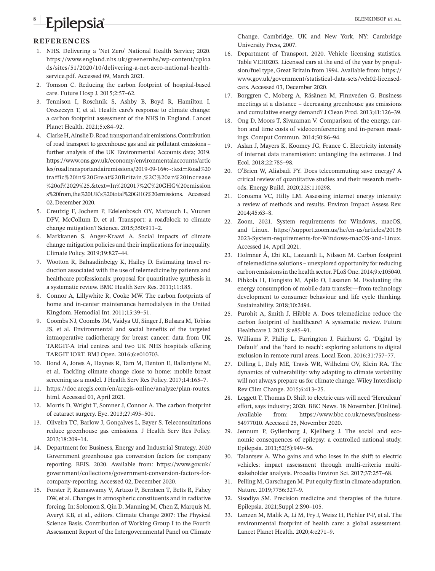# **8 | Epilepsia | BLENKINSOP ET AL.**

### **REFERENCES**

- 1. NHS. Delivering a 'Net Zero' National Health Service; 2020. [https://www.england.nhs.uk/greenernhs/wp-content/uploa](https://www.england.nhs.uk/greenernhs/wp-content/uploads/sites/51/2020/10/delivering-a-net-zero-national-health-service.pdf) [ds/sites/51/2020/10/delivering-a-net-zero-national-health](https://www.england.nhs.uk/greenernhs/wp-content/uploads/sites/51/2020/10/delivering-a-net-zero-national-health-service.pdf)[service.pdf](https://www.england.nhs.uk/greenernhs/wp-content/uploads/sites/51/2020/10/delivering-a-net-zero-national-health-service.pdf). Accessed 09, March 2021.
- 2. Tomson C. Reducing the carbon footprint of hospital-based care. Future Hosp J. 2015;2:57–62.
- 3. Tennison I, Roschnik S, Ashby B, Boyd R, Hamilton I, Oreszczyn T, et al. Health care's response to climate change: a carbon footprint assessment of the NHS in England. Lancet Planet Health. 2021;5:e84–92.
- 4. ClarkeH,AinslieD.Roadtransportandairemissions.Contribution of road transport to greenhouse gas and air pollutant emissions – further analysis of the UK Environmental Accounts data; 2019. [https://www.ons.gov.uk/economy/environmentalaccounts/artic](https://www.ons..gov.uk/economy/environmentalaccounts/articles/roadtransportandairemissions/2019-09-16#:%7E:text=Road traffic in Great Britain,%2C an increase of 29%25.&text=In 2017%2C GHG emissions from,the UK%27s total GHG emissions) [les/roadtransportandairemissions/2019-09-16#:~:text=Road%20](https://www.ons..gov.uk/economy/environmentalaccounts/articles/roadtransportandairemissions/2019-09-16#:%7E:text=Road traffic in Great Britain,%2C an increase of 29%25.&text=In 2017%2C GHG emissions from,the UK%27s total GHG emissions) tra ffic%20in%20Gre [at%20Britain,%2C%20an%20inc](https://www.ons..gov.uk/economy/environmentalaccounts/articles/roadtransportandairemissions/2019-09-16#:%7E:text=Road traffic in Great Britain,%2C an increase of 29%25.&text=In 2017%2C GHG emissions from,the UK%27s total GHG emissions) rease [%20of%2029%25.&text=In%202017%2C%20GHG%20emission](https://www.ons..gov.uk/economy/environmentalaccounts/articles/roadtransportandairemissions/2019-09-16#:%7E:text=Road traffic in Great Britain,%2C an increase of 29%25.&text=In 2017%2C GHG emissions from,the UK%27s total GHG emissions) [s%20from,the%20UK's%20total%20GHG%20emissions](https://www.ons..gov.uk/economy/environmentalaccounts/articles/roadtransportandairemissions/2019-09-16#:%7E:text=Road traffic in Great Britain,%2C an increase of 29%25.&text=In 2017%2C GHG emissions from,the UK%27s total GHG emissions). Accessed 02, December 2020.
- 5. Creutzig F, Jochem P, Edelenbosch OY, Mattauch L, Vuuren DPV, McCollum D, et al. Transport: a roadblock to climate change mitigation? Science. 2015;350:911–2.
- 6. Markkanen S, Anger-Kraavi A. Social impacts of climate change mitigation policies and their implications for inequality. Climate Policy. 2019;19:827–44.
- 7. Wootton R, Bahaadinbeigy K, Hailey D. Estimating travel reduction associated with the use of telemedicine by patients and healthcare professionals: proposal for quantitative synthesis in a systematic review. BMC Health Serv Res. 2011;11:185.
- 8. Connor A, Lillywhite R, Cooke MW. The carbon footprints of home and in-center maintenance hemodialysis in the United Kingdom. Hemodial Int. 2011;15:39–51.
- 9. Coombs NJ, Coombs JM, Vaidya UJ, Singer J, Bulsara M, Tobias JS, et al. Environmental and social benefits of the targeted intraoperative radiotherapy for breast cancer: data from UK TARGIT-A trial centres and two UK NHS hospitals offering TARGIT IORT. BMJ Open. 2016;6:e010703.
- 10. Bond A, Jones A, Haynes R, Tam M, Denton E, Ballantyne M, et al. Tackling climate change close to home: mobile breast screening as a model. J Health Serv Res Policy. 2017;14:165–7.
- 11.  [https://doc.arcgis.com/en/arcgis-online/analyze/plan-routes.](https://doc.arcgis.com/en/arcgis-online/analyze/plan-routes.html) [html.](https://doc.arcgis.com/en/arcgis-online/analyze/plan-routes.html) Accessed 01, April 2021.
- 12. Morris D, Wright T, Somner J, Connor A. The carbon footprint of cataract surgery. Eye. 2013;27:495–501.
- 13. Oliveira TC, Barlow J, Gonçalves L, Bayer S. Teleconsultations reduce greenhouse gas emissions. J Health Serv Res Policy. 2013;18:209–14.
- 14. Department for Business, Energy and Industrial Strategy, 2020 Government greenhouse gas conversion factors for company reporting. BEIS. 2020. Available from: [https://www.gov.uk/](https://www.gov.uk/government/collections/government-conversion-factors-for-company-reporting) [government/collections/government-conversion-factors-for](https://www.gov.uk/government/collections/government-conversion-factors-for-company-reporting)[company-reporting](https://www.gov.uk/government/collections/government-conversion-factors-for-company-reporting). Accessed 02, December 2020.
- 15. Forster P, Ramaswamy V, Artaxo P, Berntsen T, Betts R, Fahey DW, et al. Changes in atmospheric constituents and in radiative forcing. In: Solomon S, Qin D, Manning M, Chen Z, Marquis M, Averyt KB, et al., editors. Climate Change 2007: The Physical Science Basis. Contribution of Working Group I to the Fourth Assessment Report of the Intergovernmental Panel on Climate

Change. Cambridge, UK and New York, NY: Cambridge University Press, 2007.

- 16. Department of Transport, 2020. Vehicle licensing statistics. Table VEH0203. Licensed cars at the end of the year by propulsion/fuel type, Great Britain from 1994. Available from: [https://](https://www.gov.uk/government/statistical-data-sets/veh02-licensed-cars) [www.gov.uk/government/statistical-data-sets/veh02-licensed](https://www.gov.uk/government/statistical-data-sets/veh02-licensed-cars)[cars](https://www.gov.uk/government/statistical-data-sets/veh02-licensed-cars). Accessed 03, December 2020.
- 17. Borggren C, Moberg A, Räsänen M, Finnveden G. Business meetings at a distance – decreasing greenhouse gas emissions and cumulative energy demand? J Clean Prod. 2013;41:126–39.
- 18. Ong D, Moors T, Sivaraman V. Comparison of the energy, carbon and time costs of videoconferencing and in-person meetings. Comput Commun. 2014;50:86–94.
- 19. Aslan J, Mayers K, Koomey JG, France C. Electricity intensity of internet data transmission: untangling the estimates. J Ind Ecol. 2018;22:785–98.
- 20. O'Brien W, Aliabadi FY. Does telecommuting save energy? A critical review of quantitative studies and their research methods. Energy Build. 2020;225:110298.
- 21. Coroama VC, Hilty LM. Assessing internet energy intensity: a review of methods and results. Environ Impact Assess Rev. 2014;45:63–8.
- 22. Zoom, 2021. System requirements for Windows, macOS, and Linux. [https://support.zoom.us/hc/en-us/articles/20136](https://support.zoom.us/hc/en-us/articles/201362023-System-requirements-for-Windows-macOS-and-Linux) [2023-System-requirements-for-Windows-macOS-and-Linux.](https://support.zoom.us/hc/en-us/articles/201362023-System-requirements-for-Windows-macOS-and-Linux) Accessed 14, April 2021.
- 23. Holmner Å, Ebi KL, Lazuardi L, Nilsson M. Carbon footprint of telemedicine solutions – unexplored opportunity for reducing carbon emissionsin the health sector. PLoS One. 2014;9:e105040.
- 24. Pihkola H, Hongisto M, Apilo O, Lasanen M. Evaluating the energy consumption of mobile data transfer—from technology development to consumer behaviour and life cycle thinking. Sustainability. 2018;10:2494.
- 25. Purohit A, Smith J, Hibble A. Does telemedicine reduce the carbon footprint of healthcare? A systematic review. Future Healthcare J. 2021;8:e85–91.
- 26. Williams F, Philip L, Farrington J, Fairhurst G. 'Digital by Default' and the 'hard to reach': exploring solutions to digital exclusion in remote rural areas. Local Econ. 2016;31:757–77.
- 27. Dilling L, Daly ME, Travis WR, Wilhelmi OV, Klein RA. The dynamics of vulnerability: why adapting to climate variability will not always prepare us for climate change. Wiley Interdiscip Rev Clim Change. 2015;6:413–25.
- 28. Leggett T, Thomas D. Shift to electric cars will need 'Herculean' effort, says industry; 2020. BBC News. 18 November. [Online]. Available from: [https://www.bbc.co.uk/news/business-](https://www.bbc.co.uk/news/business-54977010)[54977010](https://www.bbc.co.uk/news/business-54977010). Accessed 25, November 2020.
- 29. Jennum P, Gyllenborg J, Kjellberg J. The social and economic consequences of epilepsy: a controlled national study. Epilepsia. 2011;52(5):949–56.
- 30. Talantsev A. Who gains and who loses in the shift to electric vehicles: impact assessment through multi-criteria multistakeholder analysis. Procedia Environ Sci. 2017;37:257–68.
- 31. Pelling M, Garschagen M. Put equity first in climate adaptation. Nature. 2019;7756:327–9.
- 32. Sisodiya SM. Precision medicine and therapies of the future. Epilepsia. 2021;Suppl 2:S90–105.
- 33. Lenzen M, Malik A, Li M, Fry J, Weisz H, Pichler P-P, et al. The environmental footprint of health care: a global assessment. Lancet Planet Health. 2020;4:e271–9.